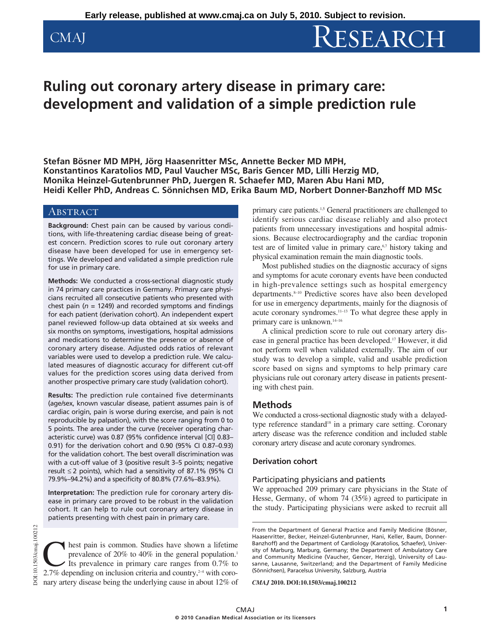# CMAJ RESEARCH

## **Ruling out coronary artery disease in primary care: development and validation of a simple prediction rule**

**Stefan Bösner MD MPH, Jörg Haasenritter MSc, Annette Becker MD MPH, Konstantinos Karatolios MD, Paul Vaucher MSc, Baris Gencer MD, Lilli Herzig MD, Monika Heinzel-Gutenbrunner PhD, Juergen R. Schaefer MD, Maren Abu Hani MD, Heidi Keller PhD, Andreas C. Sönnichsen MD, Erika Baum MD, Norbert Donner-Banzhoff MD MSc**

#### **ABSTRACT**

**Background:** Chest pain can be caused by various conditions, with life-threatening cardiac disease being of greatest concern. Prediction scores to rule out coronary artery disease have been developed for use in emergency settings. We developed and validated a simple prediction rule for use in primary care.

**Methods:** We conducted a cross-sectional diagnostic study in 74 primary care practices in Germany. Primary care physicians recruited all consecutive patients who presented with chest pain ( $n = 1249$ ) and recorded symptoms and findings for each patient (derivation cohort). An independent expert panel reviewed follow-up data obtained at six weeks and six months on symptoms, investigations, hospital admissions and medications to determine the presence or absence of coronary artery disease. Adjusted odds ratios of relevant variables were used to develop a prediction rule. We calculated measures of diagnostic accuracy for different cut-off values for the prediction scores using data derived from another prospective primary care study (validation cohort).

**Results:** The prediction rule contained five determinants (age/sex, known vascular disease, patient assumes pain is of cardiac origin, pain is worse during exercise, and pain is not reproducible by palpation), with the score ranging from 0 to 5 points. The area under the curve (receiver operating characteristic curve) was 0.87 (95% confidence interval [CI] 0.83– 0.91) for the derivation cohort and 0.90 (95% CI 0.87–0.93) for the validation cohort. The best overall discrimination was with a cut-off value of 3 (positive result 3–5 points; negative result ≤ 2 points), which had a sensitivity of 87.1% (95% CI 79.9%–94.2%) and a specificity of 80.8% (77.6%–83.9%).

**Interpretation:** The prediction rule for coronary artery disease in primary care proved to be robust in the validation cohort. It can help to rule out coronary artery disease in patients presenting with chest pain in primary care.

DOI:10.1503/cmaj.100212 DOI:10.1503/cmaj.100212

**C** hest pain is common. Studies have shown a lifetime prevalence of 20% to 40% in the general population.<sup>1</sup><br>Its prevalence in primary care ranges from 0.7% to 2.7% depending on inclusion criteria and country <sup>24</sup> with c prevalence of 20% to 40% in the general population.<sup>1</sup> Its prevalence in primary care ranges from 0.7% to 2.7% depending on inclusion criteria and country, $24$  with coronary artery disease being the underlying cause in about 12% of primary care patients.<sup>1,5</sup> General practitioners are challenged to identify serious cardiac disease reliably and also protect patients from unnecessary investigations and hospital admissions. Because electrocardiography and the cardiac troponin test are of limited value in primary care,<sup>6,7</sup> history taking and physical examination remain the main diagnostic tools.

Most published studies on the diagnostic accuracy of signs and symptoms for acute coronary events have been conducted in high-prevalence settings such as hospital emergency departments.8–10 Predictive scores have also been developed for use in emergency departments, mainly for the diagnosis of acute coronary syndromes.11–13 To what degree these apply in primary care is unknown.<sup>14-16</sup>

A clinical prediction score to rule out coronary artery disease in general practice has been developed.17 However, it did not perform well when validated externally. The aim of our study was to develop a simple, valid and usable prediction score based on signs and symptoms to help primary care physicians rule out coronary artery disease in patients presenting with chest pain.

### **Methods**

We conducted a cross-sectional diagnostic study with a delayedtype reference standard<sup>18</sup> in a primary care setting. Coronary artery disease was the reference condition and included stable coronary artery disease and acute coronary syndromes.

#### **Derivation cohort**

#### Participating physicians and patients

We approached 209 primary care physicians in the State of Hesse, Germany, of whom 74 (35%) agreed to participate in the study. Participating physicians were asked to recruit all

From the Department of General Practice and Family Medicine (Bösner, Haasenritter, Becker, Heinzel-Gutenbrunner, Hani, Keller, Baum, Donner-Banzhoff) and the Department of Cardiology (Karatolios, Schaefer), University of Marburg, Marburg, Germany; the Department of Ambulatory Care and Community Medicine (Vaucher, Gencer, Herzig), University of Lausanne, Lausanne, Switzerland; and the Department of Family Medicine (Sönnichsen), Paracelsus University, Salzburg, Austria

*CMAJ* **2010. DOI:10.1503/cmaj.100212**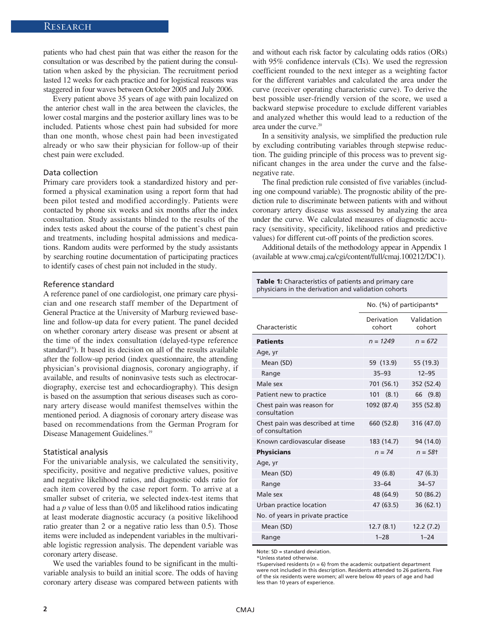patients who had chest pain that was either the reason for the consultation or was described by the patient during the consultation when asked by the physician. The recruitment period lasted 12 weeks for each practice and for logistical reasons was staggered in four waves between October 2005 and July 2006.

Every patient above 35 years of age with pain localized on the anterior chest wall in the area between the clavicles, the lower costal margins and the posterior axillary lines was to be included. Patients whose chest pain had subsided for more than one month, whose chest pain had been investigated already or who saw their physician for follow-up of their chest pain were excluded.

#### Data collection

Primary care providers took a standardized history and performed a physical examination using a report form that had been pilot tested and modified accordingly. Patients were contacted by phone six weeks and six months after the index consultation. Study assistants blinded to the results of the index tests asked about the course of the patient's chest pain and treatments, including hospital admissions and medications. Random audits were performed by the study assistants by searching routine documentation of participating practices to identify cases of chest pain not included in the study.

#### Reference standard

A reference panel of one cardiologist, one primary care physician and one research staff member of the Department of General Practice at the University of Marburg reviewed baseline and follow-up data for every patient. The panel decided on whether coronary artery disease was present or absent at the time of the index consultation (delayed-type reference standard<sup>18</sup>). It based its decision on all of the results available after the follow-up period (index questionnaire, the attending physician's provisional diagnosis, coronary angiography, if available, and results of noninvasive tests such as electrocardiography, exercise test and echocardiography). This design is based on the assumption that serious diseases such as coronary artery disease would manifest themselves within the mentioned period. A diagnosis of coronary artery disease was based on recommendations from the German Program for Disease Management Guidelines.19

#### Statistical analysis

For the univariable analysis, we calculated the sensitivity, specificity, positive and negative predictive values, positive and negative likelihood ratios, and diagnostic odds ratio for each item covered by the case report form. To arrive at a smaller subset of criteria, we selected index-test items that had a *p* value of less than 0.05 and likelihood ratios indicating at least moderate diagnostic accuracy (a positive likelihood ratio greater than 2 or a negative ratio less than 0.5). Those items were included as independent variables in the multivariable logistic regression analysis. The dependent variable was coronary artery disease.

We used the variables found to be significant in the multivariable analysis to build an initial score. The odds of having coronary artery disease was compared between patients with and without each risk factor by calculating odds ratios (ORs) with 95% confidence intervals (CIs). We used the regression coefficient rounded to the next integer as a weighting factor for the different variables and calculated the area under the curve (receiver operating characteristic curve). To derive the best possible user-friendly version of the score, we used a backward stepwise procedure to exclude different variables and analyzed whether this would lead to a reduction of the area under the curve.<sup>20</sup>

In a sensitivity analysis, we simplified the preduction rule by excluding contributing variables through stepwise reduction. The guiding principle of this process was to prevent significant changes in the area under the curve and the false negative rate.

The final prediction rule consisted of five variables (including one compound variable). The prognostic ability of the prediction rule to discriminate between patients with and without coronary artery disease was assessed by analyzing the area under the curve. We calculated measures of diagnostic accuracy (sensitivity, specificity, likelihood ratios and predictive values) for different cut-off points of the prediction scores.

Additional details of the methodology appear in Appendix 1 (available at www.cmaj.ca/cgi/content/full/cmaj.100212/DC1).

| <b>Table 1:</b> Characteristics of patients and primary care<br>physicians in the derivation and validation cohorts |                      |                          |  |  |
|---------------------------------------------------------------------------------------------------------------------|----------------------|--------------------------|--|--|
|                                                                                                                     |                      | No. (%) of participants* |  |  |
| Characteristic                                                                                                      | Derivation<br>cohort | Validation<br>cohort     |  |  |
| <b>Patients</b>                                                                                                     | $n = 1249$           | $n = 672$                |  |  |
| Age, yr                                                                                                             |                      |                          |  |  |
| Mean (SD)                                                                                                           | 59 (13.9)            | 55 (19.3)                |  |  |
| Range                                                                                                               | $35 - 93$            | $12 - 95$                |  |  |
| Male sex                                                                                                            | 701 (56.1)           | 352 (52.4)               |  |  |
| Patient new to practice                                                                                             | 101<br>(8.1)         | (9.8)<br>66              |  |  |
| Chest pain was reason for<br>consultation                                                                           | 1092 (87.4)          | 355 (52.8)               |  |  |
| Chest pain was described at time<br>of consultation                                                                 | 660 (52.8)           | 316 (47.0)               |  |  |
| Known cardiovascular disease                                                                                        | 183 (14.7)           | 94 (14.0)                |  |  |
| <b>Physicians</b>                                                                                                   | $n = 74$             | $n = 58$ t               |  |  |
| Age, yr                                                                                                             |                      |                          |  |  |
| Mean (SD)                                                                                                           | 49 (6.8)             | 47(6.3)                  |  |  |
| Range                                                                                                               | $33 - 64$            | $34 - 57$                |  |  |
| Male sex                                                                                                            | 48 (64.9)            | 50 (86.2)                |  |  |
| Urban practice location                                                                                             | 47 (63.5)            | 36 (62.1)                |  |  |
| No. of years in private practice                                                                                    |                      |                          |  |  |
| Mean (SD)                                                                                                           | 12.7(8.1)            | 12.2(7.2)                |  |  |
| Range                                                                                                               | $1 - 28$             | $1 - 24$                 |  |  |

Note: SD = standard deviation.

\*Unless stated otherwise.

†Supervised residents (*n* = 6) from the academic outpatient department were not included in this description. Residents attended to 26 patients. Five of the six residents were women; all were below 40 years of age and had less than 10 years of experience.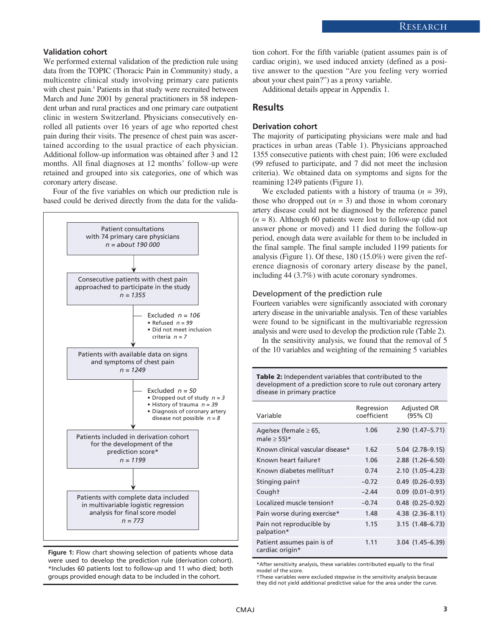#### **Validation cohort**

We performed external validation of the prediction rule using data from the TOPIC (Thoracic Pain in Community) study, a multicentre clinical study involving primary care patients with chest pain.<sup>5</sup> Patients in that study were recruited between March and June 2001 by general practitioners in 58 independent urban and rural practices and one primary care outpatient clinic in western Switzerland. Physicians consecutively enrolled all patients over 16 years of age who reported chest pain during their visits. The presence of chest pain was ascertained according to the usual practice of each physician. Additional follow-up information was obtained after 3 and 12 months. All final diagnoses at 12 months' follow-up were retained and grouped into six categories, one of which was coronary artery disease.

Four of the five variables on which our prediction rule is based could be derived directly from the data for the valida-





tion cohort. For the fifth variable (patient assumes pain is of cardiac origin), we used induced anxiety (defined as a positive answer to the question "Are you feeling very worried about your chest pain?") as a proxy variable.

Additional details appear in Appendix 1.

#### **Results**

#### **Derivation cohort**

The majority of participating physicians were male and had practices in urban areas (Table 1). Physicians approached 1355 consecutive patients with chest pain; 106 were excluded (99 refused to participate, and 7 did not meet the inclusion criteria). We obtained data on symptoms and signs for the reamining 1249 patients (Figure 1).

We excluded patients with a history of trauma  $(n = 39)$ , those who dropped out  $(n = 3)$  and those in whom coronary artery disease could not be diagnosed by the reference panel (*n* = 8). Although 60 patients were lost to follow-up (did not answer phone or moved) and 11 died during the follow-up period, enough data were available for them to be included in the final sample. The final sample included 1199 patients for analysis (Figure 1). Of these, 180 (15.0%) were given the reference diagnosis of coronary artery disease by the panel, including 44 (3.7%) with acute coronary syndromes.

#### Development of the prediction rule

Fourteen variables were significantly associated with coronary artery disease in the univariable analysis. Ten of these variables were found to be significant in the multivariable regression analysis and were used to develop the prediction rule (Table 2).

In the sensitivity analysis, we found that the removal of 5 of the 10 variables and weighting of the remaining 5 variables

**Table 2:** Independent variables that contributed to the development of a prediction score to rule out coronary artery disease in primary practice

| Variable                                        | Regression<br>coefficient | Adjusted OR<br>(95% CI) |  |
|-------------------------------------------------|---------------------------|-------------------------|--|
| Age/sex (female $\geq 65$ ,<br>male $\geq$ 55)* | 1.06                      | $2.90(1.47 - 5.71)$     |  |
| Known clinical vascular disease*                | 1.62                      | 5.04 (2.78-9.15)        |  |
| Known heart failuret                            | 1.06                      | $2.88$ $(1.26 - 6.50)$  |  |
| Known diabetes mellitust                        | 0.74                      | $2.10(1.05 - 4.23)$     |  |
| Stinging paint                                  | $-0.72$                   | $0.49$ $(0.26 - 0.93)$  |  |
| Cought                                          | $-2.44$                   | $0.09$ $(0.01 - 0.91)$  |  |
| Localized muscle tensiont                       | $-0.74$                   | $0.48$ $(0.25-0.92)$    |  |
| Pain worse during exercise*                     | 1.48                      | 4.38 (2.36-8.11)        |  |
| Pain not reproducible by<br>palpation*          | 1.15                      | $3.15(1.48-6.73)$       |  |
| Patient assumes pain is of<br>cardiac origin*   | 1.11                      | $3.04$ $(1.45-6.39)$    |  |

\*After sensitivity analysis, these variables contributed equally to the final model of the score.

†These variables were excluded stepwise in the sensitivity analysis because they did not yield additional predictive value for the area under the curve.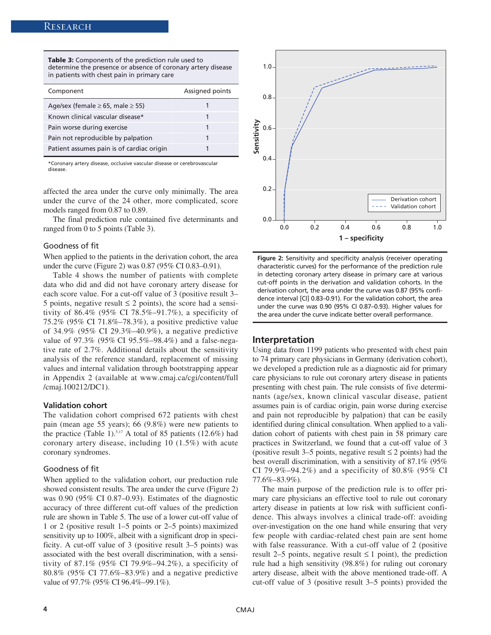**Table 3:** Components of the prediction rule used to determine the presence or absence of coronary artery disease in patients with chest pain in primary care

| Component                                  | Assigned points |
|--------------------------------------------|-----------------|
| Age/sex (female $\geq$ 65, male $\geq$ 55) |                 |
| Known clinical vascular disease*           |                 |
| Pain worse during exercise                 |                 |
| Pain not reproducible by palpation         |                 |
| Patient assumes pain is of cardiac origin  |                 |

\*Coronary artery disease, occlusive vascular disease or cerebrovascular disease.

affected the area under the curve only minimally. The area under the curve of the 24 other, more complicated, score models ranged from 0.87 to 0.89.

The final prediction rule contained five determinants and ranged from 0 to 5 points (Table 3).

#### Goodness of fit

When applied to the patients in the derivation cohort, the area under the curve (Figure 2) was 0.87 (95% CI 0.83–0.91).

Table 4 shows the number of patients with complete data who did and did not have coronary artery disease for each score value. For a cut-off value of 3 (positive result 3– 5 points, negative result  $\leq$  2 points), the score had a sensitivity of 86.4% (95% CI 78.5%–91.7%), a specificity of 75.2% (95% CI 71.8%–78.3%), a positive predictive value of 34.9% (95% CI 29.3%–40.9%), a negative predictive value of 97.3% (95% CI 95.5%–98.4%) and a false-negative rate of 2.7%. Additional details about the sensitivity analysis of the reference standard, replacement of missing values and internal validation through bootstrapping appear in Appendix 2 (available at www.cmaj.ca/cgi/content/full /cmaj.100212/DC1).

#### **Validation cohort**

The validation cohort comprised 672 patients with chest pain (mean age 55 years); 66 (9.8%) were new patients to the practice (Table 1).<sup>5,17</sup> A total of 85 patients (12.6%) had coronary artery disease, including 10 (1.5%) with acute coronary syndromes.

#### Goodness of fit

When applied to the validation cohort, our preduction rule showed consistent results. The area under the curve (Figure 2) was 0.90 (95% CI 0.87–0.93). Estimates of the diagnostic accuracy of three different cut-off values of the prediction rule are shown in Table 5. The use of a lower cut-off value of 1 or 2 (positive result 1–5 points or 2–5 points) maximized sensitivity up to 100%, albeit with a significant drop in specificity. A cut-off value of 3 (positive result 3–5 points) was associated with the best overall discrimination, with a sensitivity of 87.1% (95% CI 79.9%–94.2%), a specificity of 80.8% (95% CI 77.6%–83.9%) and a negative predictive value of 97.7% (95% CI 96.4%–99.1%).



**Figure 2:** Sensitivity and specificity analysis (receiver operating characteristic curves) for the performance of the prediction rule in detecting coronary artery disease in primary care at various cut-off points in the derivation and validation cohorts. In the derivation cohort, the area under the curve was 0.87 (95% confidence interval [CI] 0.83–0.91). For the validation cohort, the area under the curve was 0.90 (95% CI 0.87–0.93). Higher values for the area under the curve indicate better overall performance.

#### **Interpretation**

Using data from 1199 patients who presented with chest pain to 74 primary care physicians in Germany (derivation cohort), we developed a prediction rule as a diagnostic aid for primary care physicians to rule out coronary artery disease in patients presenting with chest pain. The rule consists of five determinants (age/sex, known clinical vascular disease, patient assumes pain is of cardiac origin, pain worse during exercise and pain not reproducible by palpation) that can be easily identified during clinical consultation. When applied to a validation cohort of patients with chest pain in 58 primary care practices in Switzerland, we found that a cut-off value of 3 (positive result 3–5 points, negative result  $\leq 2$  points) had the best overall discrimination, with a sensitivity of 87.1% (95% CI 79.9%–94.2%) and a specificity of 80.8% (95% CI 77.6%–83.9%).

The main purpose of the prediction rule is to offer primary care physicians an effective tool to rule out coronary artery disease in patients at low risk with sufficient confidence. This always involves a clinical trade-off: avoiding over- investigation on the one hand while ensuring that very few people with cardiac-related chest pain are sent home with false reassurance. With a cut-off value of 2 (positive result 2–5 points, negative result  $\leq 1$  point), the prediction rule had a high sensitivity (98.8%) for ruling out coronary artery disease, albeit with the above mentioned trade-off. A cut-off value of 3 (positive result 3–5 points) provided the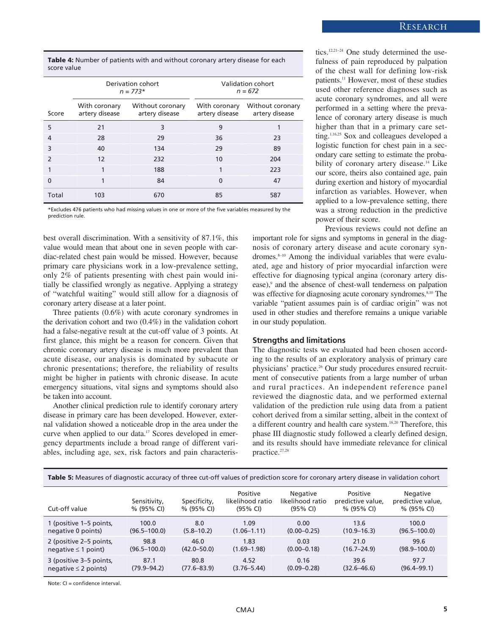#### Research

**Table 4:** Number of patients with and without coronary artery disease for each score value

|               | Derivation cohort<br>$n = 773*$ |                                    | Validation cohort<br>$n = 672$  |                                    |  |
|---------------|---------------------------------|------------------------------------|---------------------------------|------------------------------------|--|
| Score         | With coronary<br>artery disease | Without coronary<br>artery disease | With coronary<br>artery disease | Without coronary<br>artery disease |  |
| 5             | 21                              | 3                                  | 9                               |                                    |  |
| 4             | 28                              | 29                                 | 36                              | 23                                 |  |
| 3             | 40                              | 134                                | 29                              | 89                                 |  |
| $\mathcal{P}$ | 12                              | 232                                | 10                              | 204                                |  |
|               | 1                               | 188                                | 1                               | 223                                |  |
| $\Omega$      |                                 | 84                                 | $\Omega$                        | 47                                 |  |
| Total         | 103                             | 670                                | 85                              | 587                                |  |

\*Excludes 476 patients who had missing values in one or more of the five variables measured by the prediction rule.

best overall discrimination. With a sensitivity of 87.1%, this value would mean that about one in seven people with cardiac-related chest pain would be missed. However, because primary care physicians work in a low-prevalence setting, only 2% of patients presenting with chest pain would initially be classified wrongly as negative. Applying a strategy of "watchful waiting" would still allow for a diagnosis of coronary artery disease at a later point.

Three patients (0.6%) with acute coronary syndromes in the derivation cohort and two (0.4%) in the validation cohort had a false-negative result at the cut-off value of 3 points. At first glance, this might be a reason for concern. Given that chronic coronary artery disease is much more prevalent than acute disease, our analysis is dominated by subacute or chronic presentations; therefore, the reliability of results might be higher in patients with chronic disease. In acute emergency situations, vital signs and symptoms should also be taken into account.

Another clinical prediction rule to identify coronary artery disease in primary care has been developed. However, external validation showed a noticeable drop in the area under the curve when applied to our data.<sup>17</sup> Scores developed in emergency departments include a broad range of different variables, including age, sex, risk factors and pain characteris-

tics.12,21–24 One study determined the usefulness of pain reproduced by palpation of the chest wall for defining low-risk patients.<sup>11</sup> However, most of these studies used other reference diagnoses such as acute coronary syndromes, and all were performed in a setting where the prevalence of coronary artery disease is much higher than that in a primary care setting.1,16,25 Sox and colleagues developed a logistic function for chest pain in a secondary care setting to estimate the probability of coronary artery disease.<sup>14</sup> Like our score, theirs also contained age, pain during exertion and history of myocardial infarction as variables. However, when applied to a low-prevalence setting, there was a strong reduction in the predictive power of their score.

Previous reviews could not define an important role for signs and symptoms in general in the diagnosis of coronary artery disease and acute coronary syndromes.8–10 Among the individual variables that were evaluated, age and history of prior myocardial infarction were effective for diagnosing typical angina (coronary artery disease),<sup>9</sup> and the absence of chest-wall tenderness on palpation was effective for diagnosing acute coronary syndromes.<sup>8,10</sup> The variable "patient assumes pain is of cardiac origin" was not used in other studies and therefore remains a unique variable in our study population.

#### **Strengths and limitations**

The diagnostic tests we evaluated had been chosen according to the results of an exploratory analysis of primary care physicians' practice.26 Our study procedures ensured recruitment of consecutive patients from a large number of urban and rural practices. An independent reference panel reviewed the diagnostic data, and we performed external validation of the prediction rule using data from a patient cohort derived from a similar setting, albeit in the context of a different country and health care system.18,20 Therefore, this phase III diagnostic study followed a clearly defined design, and its results should have immediate relevance for clinical practice.<sup>27,28</sup>

| Table 5: Measures of diagnostic accuracy of three cut-off values of prediction score for coronary artery disease in validation cohort |                            |                            |                                          |                                          |                                             |                                                |
|---------------------------------------------------------------------------------------------------------------------------------------|----------------------------|----------------------------|------------------------------------------|------------------------------------------|---------------------------------------------|------------------------------------------------|
| Cut-off value                                                                                                                         | Sensitivity,<br>% (95% CI) | Specificity,<br>% (95% CI) | Positive<br>likelihood ratio<br>(95% CI) | Negative<br>likelihood ratio<br>(95% CI) | Positive<br>predictive value,<br>% (95% CI) | Negative<br>predictive value,<br>$% (95\% CI)$ |
| 1 (positive 1–5 points,                                                                                                               | 100.0                      | 8.0                        | 1.09                                     | 0.00                                     | 13.6                                        | 100.0                                          |
| negative 0 points)                                                                                                                    | $(96.5 - 100.0)$           | $(5.8 - 10.2)$             | $(1.06 - 1.11)$                          | $(0.00 - 0.25)$                          | $(10.9 - 16.3)$                             | $(96.5 - 100.0)$                               |
| 2 (positive 2–5 points,                                                                                                               | 98.8                       | 46.0                       | 1.83                                     | 0.03                                     | 21.0                                        | 99.6                                           |
| $negative \leq 1 point$                                                                                                               | $(96.5 - 100.0)$           | $(42.0 - 50.0)$            | $(1.69 - 1.98)$                          | $(0.00 - 0.18)$                          | $(16.7 - 24.9)$                             | $(98.9 - 100.0)$                               |
| 3 (positive 3–5 points,                                                                                                               | 87.1                       | 80.8                       | 4.52                                     | 0.16                                     | 39.6                                        | 97.7                                           |
| $negative \leq 2 points$                                                                                                              | $(79.9 - 94.2)$            | $(77.6 - 83.9)$            | $(3.76 - 5.44)$                          | $(0.09 - 0.28)$                          | $(32.6 - 46.6)$                             | $(96.4 - 99.1)$                                |

Note: CI = confidence interval.